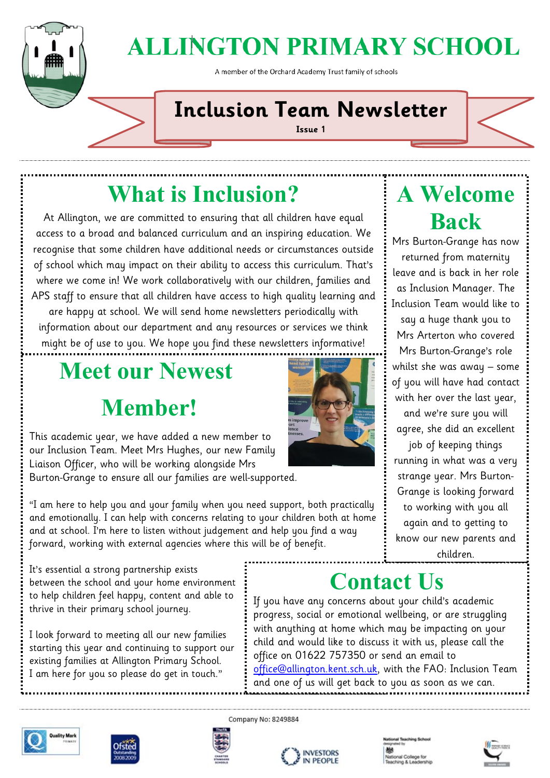

# **ALLINGTON PRIMARY SCHOOL**

A member of the Orchard Academy Trust family of schools

### **Inclusion Team Newsletter**

**Issue 1**

## **What is Inclusion?**

At Allington, we are committed to ensuring that all children have equal access to a broad and balanced curriculum and an inspiring education. We recognise that some children have additional needs or circumstances outside of school which may impact on their ability to access this curriculum. That's where we come in! We work collaboratively with our children, families and APS staff to ensure that all children have access to high quality learning and are happy at school. We will send home newsletters periodically with information about our department and any resources or services we think might be of use to you. We hope you find these newsletters informative!

## **Meet our Newest Member!**

This academic year, we have added a new member to our Inclusion Team. Meet Mrs Hughes, our new Family Liaison Officer, who will be working alongside Mrs Burton-Grange to ensure all our families are well-supported.

"I am here to help you and your family when you need support, both practically and emotionally. I can help with concerns relating to your children both at home and at school. I'm here to listen without judgement and help you find a way forward, working with external agencies where this will be of benefit.

It's essential a strong partnership exists between the school and your home environment to help children feel happy, content and able to thrive in their primary school journey.

I look forward to meeting all our new families starting this year and continuing to support our existing families at Allington Primary School. I am here for you so please do get in touch."



## **A Welcome Back**

Mrs Burton-Grange has now returned from maternity leave and is back in her role as Inclusion Manager. The Inclusion Team would like to say a huge thank you to

Mrs Arterton who covered Mrs Burton-Grange's role whilst she was away – some of you will have had contact with her over the last year,

and we're sure you will agree, she did an excellent

job of keeping things running in what was a very strange year. Mrs Burton-Grange is looking forward to working with you all again and to getting to know our new parents and children.

### **Contact Us**

If you have any concerns about your child's academic progress, social or emotional wellbeing, or are struggling with anything at home which may be impacting on your child and would like to discuss it with us, please call the office on 01622 757350 or send an email to [office@allington.kent.sch.uk,](mailto:office@allington.kent.sch.uk) with the FAO: Inclusion Team and one of us will get back to you as soon as we can.











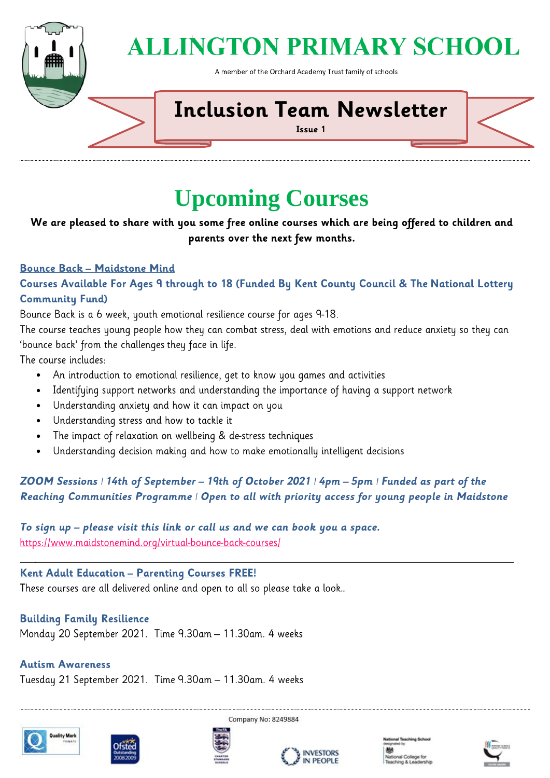

## **ALLINGTON PRIMARY SCHOOL**

A member of the Orchard Academy Trust family of schools

### **Inclusion Team Newsletter**

**Issue 1**

### **Upcoming Courses**

We are pleased to share with you some free online courses which are being offered to children and parents over the next few months.

#### **Bounce Back - Maidstone Mind**

#### Courses Available For Ages 9 through to 18 (Funded By Kent County Council & The National Lottery **Community Fund)**

Bounce Back is a 6 week, youth emotional resilience course for ages 9-18.

The course teaches young people how they can combat stress, deal with emotions and reduce anxiety so they can 'bounce back' from the challenges they face in life.

The course includes:

- An introduction to emotional resilience, get to know you games and activities
- Identifying support networks and understanding the importance of having a support network  $\bullet$
- Understanding anxiety and how it can impact on you
- Understanding stress and how to tackle it
- $\bullet$ The impact of relaxation on wellbeing & de-stress techniques
- Understanding decision making and how to make emotionally intelligent decisions  $\bullet$

#### ZOOM Sessions | 14th of September - 19th of October 2021 | 4pm - 5pm | Funded as part of the Reaching Communities Programme | Open to all with priority access for young people in Maidstone

#### To sign up – please visit this link or call us and we can book you a space. https://www.maidstonemind.org/virtual-bounce-back-courses/

#### <u> Kent Adult Education - Parenting Courses FREE!</u>

These courses are all delivered online and open to all so please take a look...

#### **Building Family Resilience**

Monday 20 September 2021. Time 9.30am - 11.30am. 4 weeks

#### **Autism Awareness**

Tuesday 21 September 2021. Time 9.30am - 11.30am. 4 weeks









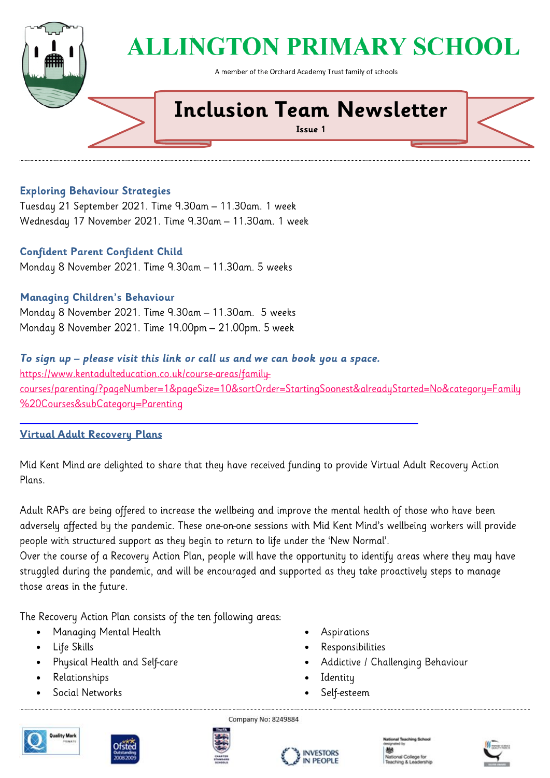

## **ALLINGTON PRIMARY SCHOOL**

A member of the Orchard Academy Trust family of schools

### **Inclusion Team Newsletter**

**Issue 1**

#### **Exploring Behaviour Strategies**

Tuesday 21 September 2021. Time 9.30am - 11.30am. 1 week Wednesday 17 November 2021. Time 9.30am - 11.30am. 1 week

#### **Confident Parent Confident Child**

Monday 8 November 2021. Time 9.30am - 11.30am. 5 weeks

#### **Managing Children's Behaviour**

Monday 8 November 2021. Time 9.30am - 11.30am. 5 weeks Monday 8 November 2021. Time 19.00pm - 21.00pm. 5 week

#### To sign up - please visit this link or call us and we can book you a space.

https://www.kentadulteducation.co.uk/course-areas/familycourses/parenting/?pageNumber=1&pageSize=10&sortOrder=StartingSoonest&alreadyStarted=No&category=Family %20Courses&subCategory=Parenting

#### Virtual Adult Recovery Plans

Mid Kent Mind are delighted to share that they have received funding to provide Virtual Adult Recovery Action Plans.

Adult RAPs are being offered to increase the wellbeing and improve the mental health of those who have been adversely affected by the pandemic. These one-on-one sessions with Mid Kent Mind's wellbeing workers will provide people with structured support as they begin to return to life under the 'New Normal'.

Over the course of a Recovery Action Plan, people will have the opportunity to identify areas where they may have struggled during the pandemic, and will be encouraged and supported as they take proactively steps to manage those areas in the future.

The Recovery Action Plan consists of the ten following areas:

- Managing Mental Health  $\bullet$
- Life Skills  $\bullet$
- Physical Health and Self-care  $\bullet$
- Relationships  $\bullet$
- Social Networks  $\bullet$
- $\bullet$ Aspirations
- $\bullet$ Responsibilities
- Addictive / Challenging Behaviour  $\bullet$
- Identity  $\bullet$
- Self-esteem  $\bullet$